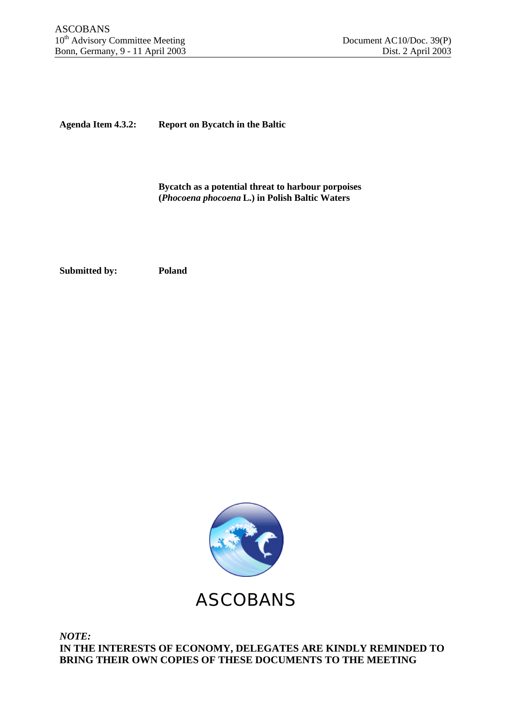**Agenda Item 4.3.2: Report on Bycatch in the Baltic**

**Bycatch as a potential threat to harbour porpoises (***Phocoena phocoena* **L.) in Polish Baltic Waters**

**Submitted by: Poland**



*NOTE:* **IN THE INTERESTS OF ECONOMY, DELEGATES ARE KINDLY REMINDED TO BRING THEIR OWN COPIES OF THESE DOCUMENTS TO THE MEETING**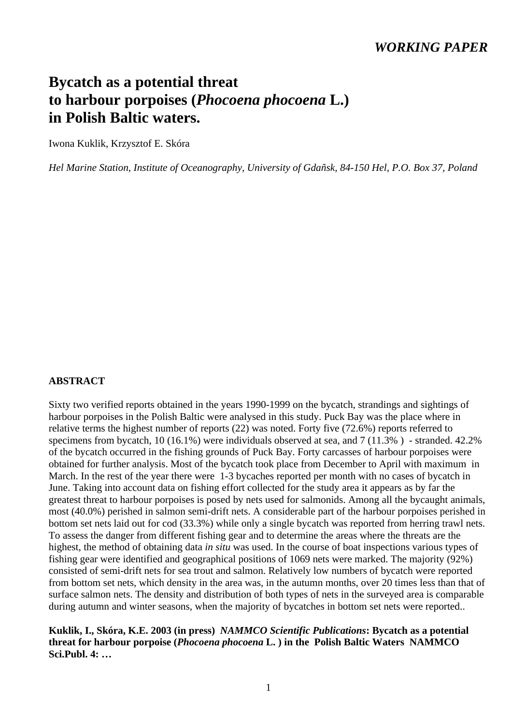## *WORKING PAPER*

# **Bycatch as a potential threat to harbour porpoises (***Phocoena phocoena* **L.) in Polish Baltic waters.**

Iwona Kuklik, Krzysztof E. Skóra

*Hel Marine Station, Institute of Oceanography, University of Gdañsk, 84-150 Hel, P.O. Box 37, Poland*

#### **ABSTRACT**

Sixty two verified reports obtained in the years 1990-1999 on the bycatch, strandings and sightings of harbour porpoises in the Polish Baltic were analysed in this study. Puck Bay was the place where in relative terms the highest number of reports (22) was noted. Forty five (72.6%) reports referred to specimens from bycatch, 10 (16.1%) were individuals observed at sea, and 7 (11.3% ) - stranded. 42.2% of the bycatch occurred in the fishing grounds of Puck Bay. Forty carcasses of harbour porpoises were obtained for further analysis. Most of the bycatch took place from December to April with maximum in March. In the rest of the year there were 1-3 bycaches reported per month with no cases of bycatch in June. Taking into account data on fishing effort collected for the study area it appears as by far the greatest threat to harbour porpoises is posed by nets used for salmonids. Among all the bycaught animals, most (40.0%) perished in salmon semi-drift nets. A considerable part of the harbour porpoises perished in bottom set nets laid out for cod (33.3%) while only a single bycatch was reported from herring trawl nets. To assess the danger from different fishing gear and to determine the areas where the threats are the highest, the method of obtaining data *in situ* was used. In the course of boat inspections various types of fishing gear were identified and geographical positions of 1069 nets were marked. The majority (92%) consisted of semi-drift nets for sea trout and salmon. Relatively low numbers of bycatch were reported from bottom set nets, which density in the area was, in the autumn months, over 20 times less than that of surface salmon nets. The density and distribution of both types of nets in the surveyed area is comparable during autumn and winter seasons, when the majority of bycatches in bottom set nets were reported..

**Kuklik, I., Skóra, K.E. 2003 (in press)** *NAMMCO Scientific Publications***: Bycatch as a potential threat for harbour porpoise (***Phocoena phocoena* **L. ) in the Polish Baltic Waters NAMMCO Sci.Publ. 4: …**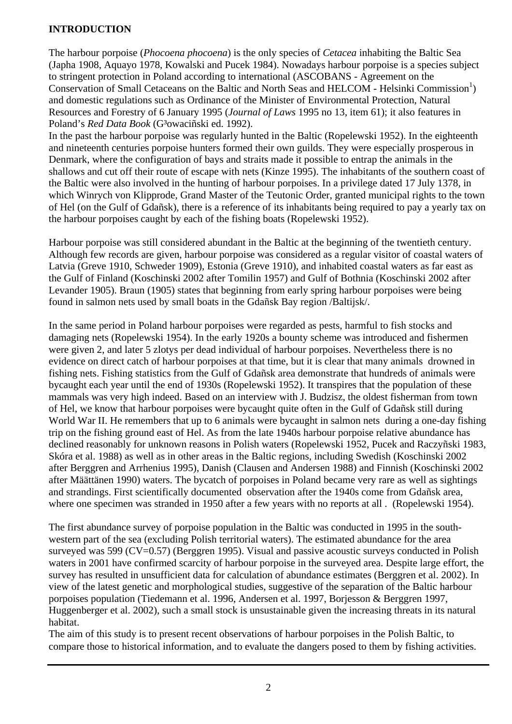#### **INTRODUCTION**

The harbour porpoise (*Phocoena phocoena*) is the only species of *Cetacea* inhabiting the Baltic Sea (Japha 1908, Aquayo 1978, Kowalski and Pucek 1984). Nowadays harbour porpoise is a species subject to stringent protection in Poland according to international (ASCOBANS - Agreement on the Conservation of Small Cetaceans on the Baltic and North Seas and HELCOM - Helsinki Commission<sup>1</sup>) and domestic regulations such as Ordinance of the Minister of Environmental Protection, Natural Resources and Forestry of 6 January 1995 (*Journal of Laws* 1995 no 13, item 61); it also features in Poland's *Red Data Book* (G<sup>3</sup>owaciñski ed. 1992).

In the past the harbour porpoise was regularly hunted in the Baltic (Ropelewski 1952). In the eighteenth and nineteenth centuries porpoise hunters formed their own guilds. They were especially prosperous in Denmark, where the configuration of bays and straits made it possible to entrap the animals in the shallows and cut off their route of escape with nets (Kinze 1995). The inhabitants of the southern coast of the Baltic were also involved in the hunting of harbour porpoises. In a privilege dated 17 July 1378, in which Winrych von Klipprode, Grand Master of the Teutonic Order, granted municipal rights to the town of Hel (on the Gulf of Gdañsk), there is a reference of its inhabitants being required to pay a yearly tax on the harbour porpoises caught by each of the fishing boats (Ropelewski 1952).

Harbour porpoise was still considered abundant in the Baltic at the beginning of the twentieth century. Although few records are given, harbour porpoise was considered as a regular visitor of coastal waters of Latvia (Greve 1910, Schweder 1909), Estonia (Greve 1910), and inhabited coastal waters as far east as the Gulf of Finland (Koschinski 2002 after Tomilin 1957) and Gulf of Bothnia (Koschinski 2002 after Levander 1905). Braun (1905) states that beginning from early spring harbour porpoises were being found in salmon nets used by small boats in the Gdañsk Bay region /Baltijsk/.

In the same period in Poland harbour porpoises were regarded as pests, harmful to fish stocks and damaging nets (Ropelewski 1954). In the early 1920s a bounty scheme was introduced and fishermen were given 2, and later 5 zlotys per dead individual of harbour porpoises. Nevertheless there is no evidence on direct catch of harbour porpoises at that time, but it is clear that many animals drowned in fishing nets. Fishing statistics from the Gulf of Gdañsk area demonstrate that hundreds of animals were bycaught each year until the end of 1930s (Ropelewski 1952). It transpires that the population of these mammals was very high indeed. Based on an interview with J. Budzisz, the oldest fisherman from town of Hel, we know that harbour porpoises were bycaught quite often in the Gulf of Gdañsk still during World War II. He remembers that up to 6 animals were bycaught in salmon nets during a one-day fishing trip on the fishing ground east of Hel. As from the late 1940s harbour porpoise relative abundance has declined reasonably for unknown reasons in Polish waters (Ropelewski 1952, Pucek and Raczyñski 1983, Skóra et al. 1988) as well as in other areas in the Baltic regions, including Swedish (Koschinski 2002 after Berggren and Arrhenius 1995), Danish (Clausen and Andersen 1988) and Finnish (Koschinski 2002 after Määttänen 1990) waters. The bycatch of porpoises in Poland became very rare as well as sightings and strandings. First scientifically documented observation after the 1940s come from Gdañsk area, where one specimen was stranded in 1950 after a few years with no reports at all . (Ropelewski 1954).

The first abundance survey of porpoise population in the Baltic was conducted in 1995 in the southwestern part of the sea (excluding Polish territorial waters). The estimated abundance for the area surveyed was 599 (CV=0.57) (Berggren 1995). Visual and passive acoustic surveys conducted in Polish waters in 2001 have confirmed scarcity of harbour porpoise in the surveyed area. Despite large effort, the survey has resulted in unsufficient data for calculation of abundance estimates (Berggren et al. 2002). In view of the latest genetic and morphological studies, suggestive of the separation of the Baltic harbour porpoises population (Tiedemann et al. 1996, Andersen et al. 1997, Borjesson & Berggren 1997, Huggenberger et al. 2002), such a small stock is unsustainable given the increasing threats in its natural habitat.

The aim of this study is to present recent observations of harbour porpoises in the Polish Baltic, to compare those to historical information, and to evaluate the dangers posed to them by fishing activities.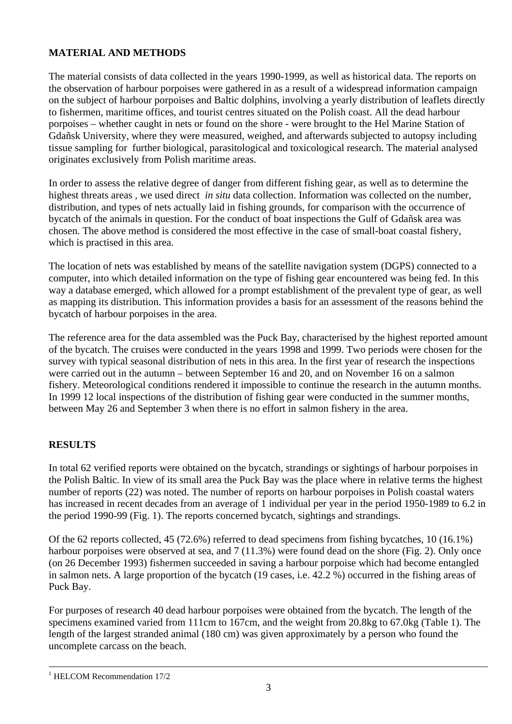## **MATERIAL AND METHODS**

The material consists of data collected in the years 1990-1999, as well as historical data. The reports on the observation of harbour porpoises were gathered in as a result of a widespread information campaign on the subject of harbour porpoises and Baltic dolphins, involving a yearly distribution of leaflets directly to fishermen, maritime offices, and tourist centres situated on the Polish coast. All the dead harbour porpoises – whether caught in nets or found on the shore - were brought to the Hel Marine Station of Gdañsk University, where they were measured, weighed, and afterwards subjected to autopsy including tissue sampling for further biological, parasitological and toxicological research. The material analysed originates exclusively from Polish maritime areas.

In order to assess the relative degree of danger from different fishing gear, as well as to determine the highest threats areas , we used direct *in situ* data collection. Information was collected on the number, distribution, and types of nets actually laid in fishing grounds, for comparison with the occurrence of bycatch of the animals in question. For the conduct of boat inspections the Gulf of Gdañsk area was chosen. The above method is considered the most effective in the case of small-boat coastal fishery, which is practised in this area.

The location of nets was established by means of the satellite navigation system (DGPS) connected to a computer, into which detailed information on the type of fishing gear encountered was being fed. In this way a database emerged, which allowed for a prompt establishment of the prevalent type of gear, as well as mapping its distribution. This information provides a basis for an assessment of the reasons behind the bycatch of harbour porpoises in the area.

The reference area for the data assembled was the Puck Bay, characterised by the highest reported amount of the bycatch. The cruises were conducted in the years 1998 and 1999. Two periods were chosen for the survey with typical seasonal distribution of nets in this area. In the first year of research the inspections were carried out in the autumn – between September 16 and 20, and on November 16 on a salmon fishery. Meteorological conditions rendered it impossible to continue the research in the autumn months. In 1999 12 local inspections of the distribution of fishing gear were conducted in the summer months, between May 26 and September 3 when there is no effort in salmon fishery in the area.

### **RESULTS**

In total 62 verified reports were obtained on the bycatch, strandings or sightings of harbour porpoises in the Polish Baltic. In view of its small area the Puck Bay was the place where in relative terms the highest number of reports (22) was noted. The number of reports on harbour porpoises in Polish coastal waters has increased in recent decades from an average of 1 individual per year in the period 1950-1989 to 6.2 in the period 1990-99 (Fig. 1). The reports concerned bycatch, sightings and strandings.

Of the 62 reports collected, 45 (72.6%) referred to dead specimens from fishing bycatches, 10 (16.1%) harbour porpoises were observed at sea, and 7 (11.3%) were found dead on the shore (Fig. 2). Only once (on 26 December 1993) fishermen succeeded in saving a harbour porpoise which had become entangled in salmon nets. A large proportion of the bycatch (19 cases, i.e. 42.2 %) occurred in the fishing areas of Puck Bay.

For purposes of research 40 dead harbour porpoises were obtained from the bycatch. The length of the specimens examined varied from 111cm to 167cm, and the weight from 20.8kg to 67.0kg (Table 1). The length of the largest stranded animal (180 cm) was given approximately by a person who found the uncomplete carcass on the beach.

 $\overline{a}$ <sup>1</sup> HELCOM Recommendation 17/2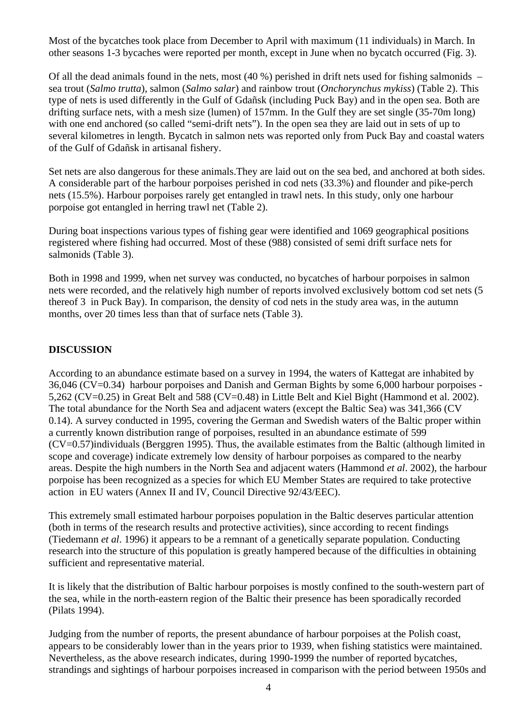Most of the bycatches took place from December to April with maximum (11 individuals) in March. In other seasons 1-3 bycaches were reported per month, except in June when no bycatch occurred (Fig. 3).

Of all the dead animals found in the nets, most  $(40\%)$  perished in drift nets used for fishing salmonids – sea trout (*Salmo trutta*), salmon (*Salmo salar*) and rainbow trout (*Onchorynchus mykiss*) (Table 2). This type of nets is used differently in the Gulf of Gdañsk (including Puck Bay) and in the open sea. Both are drifting surface nets, with a mesh size (lumen) of 157mm. In the Gulf they are set single (35-70m long) with one end anchored (so called "semi-drift nets"). In the open sea they are laid out in sets of up to several kilometres in length. Bycatch in salmon nets was reported only from Puck Bay and coastal waters of the Gulf of Gdañsk in artisanal fishery.

Set nets are also dangerous for these animals.They are laid out on the sea bed, and anchored at both sides. A considerable part of the harbour porpoises perished in cod nets (33.3%) and flounder and pike-perch nets (15.5%). Harbour porpoises rarely get entangled in trawl nets. In this study, only one harbour porpoise got entangled in herring trawl net (Table 2).

During boat inspections various types of fishing gear were identified and 1069 geographical positions registered where fishing had occurred. Most of these (988) consisted of semi drift surface nets for salmonids (Table 3).

Both in 1998 and 1999, when net survey was conducted, no bycatches of harbour porpoises in salmon nets were recorded, and the relatively high number of reports involved exclusively bottom cod set nets (5 thereof 3 in Puck Bay). In comparison, the density of cod nets in the study area was, in the autumn months, over 20 times less than that of surface nets (Table 3).

#### **DISCUSSION**

According to an abundance estimate based on a survey in 1994, the waters of Kattegat are inhabited by 36,046 (CV=0.34) harbour porpoises and Danish and German Bights by some 6,000 harbour porpoises - 5,262 (CV=0.25) in Great Belt and 588 (CV=0.48) in Little Belt and Kiel Bight (Hammond et al. 2002). The total abundance for the North Sea and adjacent waters (except the Baltic Sea) was 341,366 (CV 0.14). A survey conducted in 1995, covering the German and Swedish waters of the Baltic proper within a currently known distribution range of porpoises, resulted in an abundance estimate of 599 (CV=0.57)individuals (Berggren 1995). Thus, the available estimates from the Baltic (although limited in scope and coverage) indicate extremely low density of harbour porpoises as compared to the nearby areas. Despite the high numbers in the North Sea and adjacent waters (Hammond *et al*. 2002), the harbour porpoise has been recognized as a species for which EU Member States are required to take protective action in EU waters (Annex II and IV, Council Directive 92/43/EEC).

This extremely small estimated harbour porpoises population in the Baltic deserves particular attention (both in terms of the research results and protective activities), since according to recent findings (Tiedemann *et al*. 1996) it appears to be a remnant of a genetically separate population. Conducting research into the structure of this population is greatly hampered because of the difficulties in obtaining sufficient and representative material.

It is likely that the distribution of Baltic harbour porpoises is mostly confined to the south-western part of the sea, while in the north-eastern region of the Baltic their presence has been sporadically recorded (Pilats 1994).

Judging from the number of reports, the present abundance of harbour porpoises at the Polish coast, appears to be considerably lower than in the years prior to 1939, when fishing statistics were maintained. Nevertheless, as the above research indicates, during 1990-1999 the number of reported bycatches, strandings and sightings of harbour porpoises increased in comparison with the period between 1950s and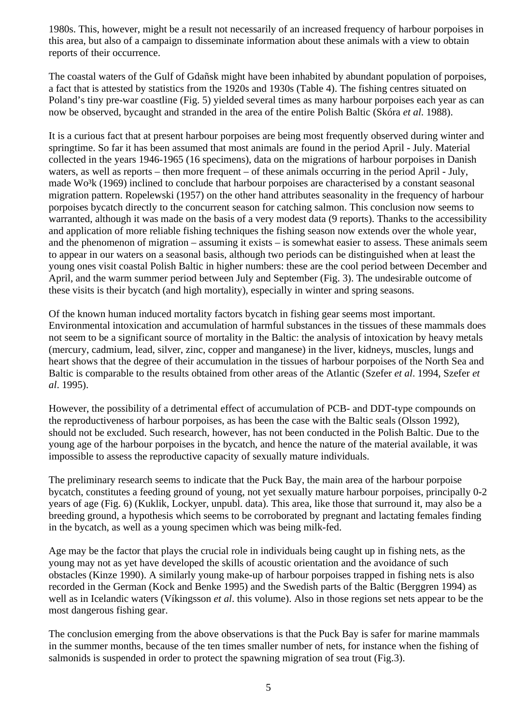1980s. This, however, might be a result not necessarily of an increased frequency of harbour porpoises in this area, but also of a campaign to disseminate information about these animals with a view to obtain reports of their occurrence.

The coastal waters of the Gulf of Gdañsk might have been inhabited by abundant population of porpoises, a fact that is attested by statistics from the 1920s and 1930s (Table 4). The fishing centres situated on Poland's tiny pre-war coastline (Fig. 5) yielded several times as many harbour porpoises each year as can now be observed, bycaught and stranded in the area of the entire Polish Baltic (Skóra *et al*. 1988).

It is a curious fact that at present harbour porpoises are being most frequently observed during winter and springtime. So far it has been assumed that most animals are found in the period April - July. Material collected in the years 1946-1965 (16 specimens), data on the migrations of harbour porpoises in Danish waters, as well as reports – then more frequent – of these animals occurring in the period April - July, made Wo<sup>3</sup>k (1969) inclined to conclude that harbour porpoises are characterised by a constant seasonal migration pattern. Ropelewski (1957) on the other hand attributes seasonality in the frequency of harbour porpoises bycatch directly to the concurrent season for catching salmon. This conclusion now seems to warranted, although it was made on the basis of a very modest data (9 reports). Thanks to the accessibility and application of more reliable fishing techniques the fishing season now extends over the whole year, and the phenomenon of migration – assuming it exists – is somewhat easier to assess. These animals seem to appear in our waters on a seasonal basis, although two periods can be distinguished when at least the young ones visit coastal Polish Baltic in higher numbers: these are the cool period between December and April, and the warm summer period between July and September (Fig. 3). The undesirable outcome of these visits is their bycatch (and high mortality), especially in winter and spring seasons.

Of the known human induced mortality factors bycatch in fishing gear seems most important. Environmental intoxication and accumulation of harmful substances in the tissues of these mammals does not seem to be a significant source of mortality in the Baltic: the analysis of intoxication by heavy metals (mercury, cadmium, lead, silver, zinc, copper and manganese) in the liver, kidneys, muscles, lungs and heart shows that the degree of their accumulation in the tissues of harbour porpoises of the North Sea and Baltic is comparable to the results obtained from other areas of the Atlantic (Szefer *et al*. 1994, Szefer *et al*. 1995).

However, the possibility of a detrimental effect of accumulation of PCB- and DDT-type compounds on the reproductiveness of harbour porpoises, as has been the case with the Baltic seals (Olsson 1992), should not be excluded. Such research, however, has not been conducted in the Polish Baltic. Due to the young age of the harbour porpoises in the bycatch, and hence the nature of the material available, it was impossible to assess the reproductive capacity of sexually mature individuals.

The preliminary research seems to indicate that the Puck Bay, the main area of the harbour porpoise bycatch, constitutes a feeding ground of young, not yet sexually mature harbour porpoises, principally 0-2 years of age (Fig. 6) (Kuklik, Lockyer, unpubl. data). This area, like those that surround it, may also be a breeding ground, a hypothesis which seems to be corroborated by pregnant and lactating females finding in the bycatch, as well as a young specimen which was being milk-fed.

Age may be the factor that plays the crucial role in individuals being caught up in fishing nets, as the young may not as yet have developed the skills of acoustic orientation and the avoidance of such obstacles (Kinze 1990). A similarly young make-up of harbour porpoises trapped in fishing nets is also recorded in the German (Kock and Benke 1995) and the Swedish parts of the Baltic (Berggren 1994) as well as in Icelandic waters (Víkingsson *et al*. this volume). Also in those regions set nets appear to be the most dangerous fishing gear.

The conclusion emerging from the above observations is that the Puck Bay is safer for marine mammals in the summer months, because of the ten times smaller number of nets, for instance when the fishing of salmonids is suspended in order to protect the spawning migration of sea trout (Fig.3).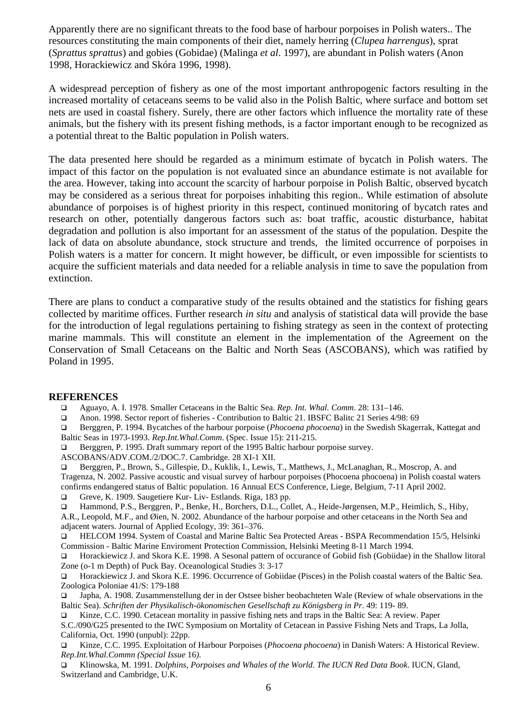Apparently there are no significant threats to the food base of harbour porpoises in Polish waters.. The resources constituting the main components of their diet, namely herring (*Clupea harrengus*), sprat (*Sprattus sprattus*) and gobies (Gobidae) (Malinga *et al*. 1997), are abundant in Polish waters (Anon 1998, Horackiewicz and Skóra 1996, 1998).

A widespread perception of fishery as one of the most important anthropogenic factors resulting in the increased mortality of cetaceans seems to be valid also in the Polish Baltic, where surface and bottom set nets are used in coastal fishery. Surely, there are other factors which influence the mortality rate of these animals, but the fishery with its present fishing methods, is a factor important enough to be recognized as a potential threat to the Baltic population in Polish waters.

The data presented here should be regarded as a minimum estimate of bycatch in Polish waters. The impact of this factor on the population is not evaluated since an abundance estimate is not available for the area. However, taking into account the scarcity of harbour porpoise in Polish Baltic, observed bycatch may be considered as a serious threat for porpoises inhabiting this region.. While estimation of absolute abundance of porpoises is of highest priority in this respect, continued monitoring of bycatch rates and research on other, potentially dangerous factors such as: boat traffic, acoustic disturbance, habitat degradation and pollution is also important for an assessment of the status of the population. Despite the lack of data on absolute abundance, stock structure and trends, the limited occurrence of porpoises in Polish waters is a matter for concern. It might however, be difficult, or even impossible for scientists to acquire the sufficient materials and data needed for a reliable analysis in time to save the population from extinction.

There are plans to conduct a comparative study of the results obtained and the statistics for fishing gears collected by maritime offices. Further research *in situ* and analysis of statistical data will provide the base for the introduction of legal regulations pertaining to fishing strategy as seen in the context of protecting marine mammals. This will constitute an element in the implementation of the Agreement on the Conservation of Small Cetaceans on the Baltic and North Seas (ASCOBANS), which was ratified by Poland in 1995.

#### **REFERENCES**

q Aguayo, A. I. 1978. Smaller Cetaceans in the Baltic Sea. *Rep. Int. Whal. Comm*. 28: 131–146.

q Anon. 1998. Sector report of fisheries - Contribution to Baltic 21. IBSFC Balitc 21 Series 4/98: 69

q Berggren, P. 1994. Bycatches of the harbour porpoise (*Phocoena phocoena*) in the Swedish Skagerrak, Kattegat and Baltic Seas in 1973-1993. *Rep.Int.Whal.Comm*. (Spec. Issue 15): 211-215.

□ Berggren, P. 1995. Draft summary report of the 1995 Baltic harbour porpoise survey.

ASCOBANS/ADV.COM./2/DOC.7. Cambridge. 28 XI-1 XII.

q Berggren, P., Brown, S., Gillespie, D., Kuklik, I., Lewis, T., Matthews, J., McLanaghan, R., Moscrop, A. and Tragenza, N. 2002. Passive acoustic and visual survey of harbour porpoises (Phocoena phocoena) in Polish coastal waters confirms endangered status of Baltic population. 16 Annual ECS Conference, Liege, Belgium, 7-11 April 2002.

□ Greve, K. 1909. Saugetiere Kur- Liv- Estlands. Riga, 183 pp.

q Hammond, P.S., Berggren, P., Benke, H., Borchers, D.L., Collet, A., Heide-Jørgensen, M.P., Heimlich, S., Hiby,

A.R., Leopold, M.F., and Øien, N. 2002. Abundance of the harbour porpoise and other cetaceans in the North Sea and adjacent waters. Journal of Applied Ecology, 39: 361–376.

q HELCOM 1994. System of Coastal and Marine Baltic Sea Protected Areas - BSPA Recommendation 15/5, Helsinki Commission - Baltic Marine Enviroment Protection Commission, Helsinki Meeting 8-11 March 1994.

q Horackiewicz J. and Skora K.E. 1998. A Sesonal pattern of occurance of Gobiid fish (Gobiidae) in the Shallow litoral Zone (o-1 m Depth) of Puck Bay. Oceanological Studies 3: 3-17

q Horackiewicz J. and Skora K.E. 1996. Occurrence of Gobiidae (Pisces) in the Polish coastal waters of the Baltic Sea. Zoologica Poloniae 41/S: 179-188

q Japha, A. 1908. Zusammenstellung der in der Ostsee bisher beobachteten Wale (Review of whale observations in the Baltic Sea). *Schriften der Physikalisch-ökonomischen Gesellschaft zu Königsberg in Pr*. 49: 119- 89.

Kinze, C.C. 1990. Cetacean mortality in passive fishing nets and traps in the Baltic Sea: A review. Paper S.C./090/G25 presented to the IWC Symposium on Mortality of Cetacean in Passive Fishing Nets and Traps, La Jolla,

California, Oct. 1990 (unpubl): 22pp.

q Kinze, C.C. 1995. Exploitation of Harbour Porpoises (*Phocoena phocoena*) in Danish Waters: A Historical Review. *Rep.Int.Whal.Commn (Special Issue* 16*).*

q Klinowska, M. 1991. *Dolphins, Porpoises and Whales of the World*. *The IUCN Red Data Book*. IUCN, Gland, Switzerland and Cambridge, U.K.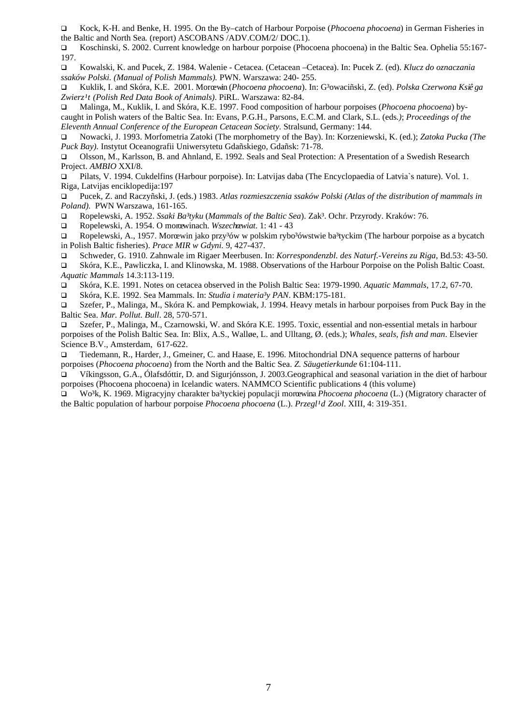q Kock, K-H. and Benke, H. 1995. On the By–catch of Harbour Porpoise (*Phocoena phocoena*) in German Fisheries in the Baltic and North Sea*.* (report) ASCOBANS /ADV.COM/2/ DOC.1).

q Koschinski, S. 2002. Current knowledge on harbour porpoise (Phocoena phocoena) in the Baltic Sea. Ophelia 55:167- 197.

q Kowalski, K. and Pucek, Z. 1984. Walenie - Cetacea. (Cetacean –Cetacea). In: Pucek Z. (ed). *Klucz do oznaczania ssaków Polski. (Manual of Polish Mammals).* PWN. Warszawa: 240- 255.

q Kuklik, I. and Skóra, K.E. 2001. Morœwin (*Phocoena phocoena*). In: G³owaciñski, Z. (ed). *Polska Czerwona Ksiê ga Zwierz¹t (Polish Red Data Book of Animals)*. PiRL. Warszawa: 82-84.

q Malinga, M., Kuklik, I. and Skóra, K.E. 1997. Food composition of harbour porpoises (*Phocoena phocoena*) bycaught in Polish waters of the Baltic Sea. In: Evans, P.G.H., Parsons, E.C.M. and Clark, S.L. (eds*.)*; *Proceedings of the Eleventh Annual Conference of the European Cetacean Society.* Stralsund, Germany: 144.

q Nowacki, J. 1993. Morfometria Zatoki (The morphometry of the Bay). In: Korzeniewski, K. (ed.); *Zatoka Pucka (The Puck Bay).* Instytut Oceanografii Uniwersytetu Gdañskiego, Gdañsk: 71-78.

q Olsson, M., Karlsson, B. and Ahnland, E. 1992. Seals and Seal Protection: A Presentation of a Swedish Research Project. *AMBIO* XXI/8.

q Pilats, V. 1994. Cukdelfins (Harbour porpoise). In: Latvijas daba (The Encyclopaedia of Latvia`s nature). Vol. 1. Riga, Latvijas enciklopedija:197

q Pucek, Z. and Raczyñski, J. (eds.) 1983. *Atlas rozmieszczenia ssaków Polski (Atlas of the distribution of mammals in Poland).* PWN Warszawa, 161-165.

q Ropelewski, A. 1952. *Ssaki Ba³tyku* (*Mammals of the Baltic Sea*). Zak³. Ochr. Przyrody. Kraków: 76.

q Ropelewski, A. 1954. O morœwinach. *Wszechœwiat*. 1: 41 - 43

**□** Ropelewski, A., 1957. Morœwin jako przy<sup>3</sup>ów w polskim rybo<sup>3</sup>ówstwie ba<sup>3</sup>tyckim (The harbour porpoise as a bycatch in Polish Baltic fisheries). *Prace MIR w Gdyni.* 9, 427-437.

q Schweder, G. 1910. Zahnwale im Rigaer Meerbusen. In: *Korrespondenzbl. des Naturf.-Vereins zu Riga*, Bd.53: 43-50.

q Skóra, K.E., Pawliczka, I. and Klinowska, M. 1988. Observations of the Harbour Porpoise on the Polish Baltic Coast. *Aquatic Mammals* 14.3:113-119.

q Skóra, K.E. 1991. Notes on cetacea observed in the Polish Baltic Sea: 1979-1990. *Aquatic Mammals*, 17.2, 67-70.

q Skóra, K.E. 1992. Sea Mammals. In: *Studia i materia³y PAN*. KBM:175-181.

□ Szefer, P., Malinga, M., Skóra K. and Pempkowiak, J. 1994. Heavy metals in harbour porpoises from Puck Bay in the Baltic Sea. *Mar. Pollut. Bull*. 28, 570-571.

q Szefer, P., Malinga, M., Czarnowski, W. and Skóra K.E. 1995. Toxic, essential and non-essential metals in harbour porpoises of the Polish Baltic Sea. In: Blix, A.S., Walløe, L. and Ulltang, Ø. (eds.); *Whales, seals, fish and man*. Elsevier Science B.V., Amsterdam, 617-622.

q Tiedemann, R., Harder, J., Gmeiner, C. and Haase, E. 1996. Mitochondrial DNA sequence patterns of harbour porpoises (*Phocoena phocoena*) from the North and the Baltic Sea. *Z. Säugetierkunde* 61:104-111.

q Víkingsson, G.A., Ólafsdóttir, D. and Sigurjónsson, J. 2003.Geographical and seasonal variation in the diet of harbour porpoises (Phocoena phocoena) in Icelandic waters. NAMMCO Scientific publications 4 (this volume)

Wo<sup>3</sup>k, K. 1969. Migracyjny charakter ba<sup>3</sup>tyckiej populacji morœwina *Phocoena phocoena* (L.) (Migratory character of the Baltic population of harbour porpoise *Phocoena phocoena* (L.). *Przegl<sup>1</sup>d Zool*. XIII, 4: 319-351.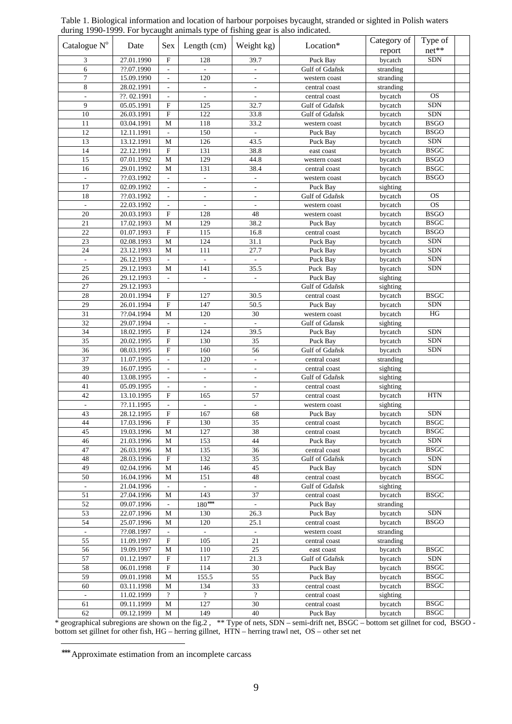|                          |             |                               | $\mu$ and $\mu$ and $\mu$ and $\mu$ and $\mu$ and $\mu$ and $\mu$ and $\mu$ and $\mu$ and $\mu$ and $\mu$ and $\mu$ |                             |                |             |                      |  |
|--------------------------|-------------|-------------------------------|---------------------------------------------------------------------------------------------------------------------|-----------------------------|----------------|-------------|----------------------|--|
| Catalogue N°             | Date        | Sex                           | Length $(cm)$                                                                                                       | Weight kg)                  | Location*      | Category of | Type of<br>$net**$   |  |
|                          |             |                               |                                                                                                                     |                             |                | report      |                      |  |
| 3                        | 27.01.1990  | F                             | 128                                                                                                                 | 39.7                        | Puck Bay       | bycatch     | ${\rm SDN}$          |  |
| 6<br>7                   | ??.07.1990  | ÷,                            | 120                                                                                                                 |                             | Gulf of Gdañsk | stranding   |                      |  |
| 8                        | 15.09.1990  | $\overline{\phantom{a}}$      |                                                                                                                     |                             | western coast  | stranding   |                      |  |
|                          | 28.02.1991  | $\frac{1}{2}$                 | $\Box$                                                                                                              |                             | central coast  | stranding   | <b>OS</b>            |  |
| ÷<br>$\overline{9}$      | ??. 02.1991 | $\blacksquare$<br>$\mathbf F$ | $\overline{\phantom{a}}$                                                                                            | $\overline{\phantom{a}}$    | central coast  | bycatch     | <b>SDN</b>           |  |
| 10                       | 05.05.1991  | ${\bf F}$                     | 125                                                                                                                 | 32.7                        | Gulf of Gdañsk | bycatch     | <b>SDN</b>           |  |
|                          | 26.03.1991  |                               | 122                                                                                                                 | 33.8                        | Gulf of Gdañsk | bycatch     |                      |  |
| 11                       | 03.04.1991  | М                             | 118                                                                                                                 | 33.2                        | western coast  | bycatch     | <b>BSGO</b>          |  |
| 12                       | 12.11.1991  | $\sim$                        | 150                                                                                                                 | $\mathcal{L}_{\mathcal{A}}$ | Puck Bay       | bycatch     | <b>BSGO</b>          |  |
| 13                       | 13.12.1991  | М                             | 126                                                                                                                 | 43.5                        | Puck Bay       | bycatch     | SDN                  |  |
| 14                       | 22.12.1991  | $\mathbf F$                   | 131                                                                                                                 | 38.8                        | east coast     | bycatch     | <b>BSGC</b>          |  |
| 15                       | 07.01.1992  | М                             | 129                                                                                                                 | 44.8                        | western coast  | bycatch     | <b>BSGO</b>          |  |
| 16                       | 29.01.1992  | М                             | 131                                                                                                                 | 38.4                        | central coast  | bycatch     | <b>BSGC</b>          |  |
| $\overline{\phantom{m}}$ | ??.03.1992  | $\overline{\phantom{a}}$      | $\overline{\phantom{a}}$                                                                                            | $\overline{\phantom{a}}$    | western coast  | bycatch     | <b>BSGO</b>          |  |
| 17                       | 02.09.1992  | $\overline{\phantom{a}}$      | $\overline{\phantom{a}}$                                                                                            | $\overline{\phantom{a}}$    | Puck Bay       | sighting    |                      |  |
| 18                       | ??.03.1992  | $\overline{\phantom{a}}$      |                                                                                                                     |                             | Gulf of Gdañsk | bycatch     | <b>OS</b>            |  |
| ÷.                       | 22.03.1992  | $\overline{\phantom{a}}$      | $\overline{\phantom{a}}$                                                                                            | $\overline{\phantom{a}}$    | western coast  | bycatch     | <b>OS</b>            |  |
| 20                       | 20.03.1993  | $\mathbf F$                   | 128                                                                                                                 | 48                          | western coast  | bycatch     | <b>BSGO</b>          |  |
| $21\,$                   | 17.02.1993  | $\mathbf M$                   | 129                                                                                                                 | 38.2                        | Puck Bay       | bycatch     | <b>BSGC</b>          |  |
| 22                       | 01.07.1993  | $\mathbf F$                   | 115                                                                                                                 | 16.8                        | central coast  | bycatch     | <b>BSGO</b>          |  |
| 23                       | 02.08.1993  | $\mathbf M$                   | 124                                                                                                                 | 31.1                        | Puck Bay       | bycatch     | <b>SDN</b>           |  |
| 24                       | 23.12.1993  | М                             | 111                                                                                                                 | 27.7                        | Puck Bay       | bycatch     | <b>SDN</b>           |  |
| $\overline{\phantom{a}}$ | 26.12.1993  | $\overline{\phantom{a}}$      | $\blacksquare$                                                                                                      | $\overline{\phantom{a}}$    | Puck Bay       | bycatch     | <b>SDN</b>           |  |
| 25                       | 29.12.1993  | М                             | 141                                                                                                                 | 35.5                        | Puck Bay       | bycatch     | <b>SDN</b>           |  |
| 26                       | 29.12.1993  | $\mathcal{L}^{\mathcal{A}}$   | $\mathbb{R}^2$                                                                                                      | $\mathcal{L}^{\pm}$         | Puck Bay       | sighting    |                      |  |
| 27                       | 29.12.1993  |                               |                                                                                                                     |                             | Gulf of Gdañsk | sighting    |                      |  |
| 28                       | 20.01.1994  | $\mathbf F$                   | 127                                                                                                                 | 30.5                        | central coast  | bycatch     | <b>BSGC</b>          |  |
| 29                       | 26.01.1994  | $\mathbf F$                   | 147                                                                                                                 | 50.5                        | Puck Bay       | bycatch     | <b>SDN</b>           |  |
| 31                       | ??.04.1994  | $\mathbf M$                   | 120                                                                                                                 | 30                          | western coast  | bycatch     | HG                   |  |
| 32                       | 29.07.1994  | ÷.                            | $\overline{\phantom{a}}$                                                                                            | $\Box$                      | Gulf of Gdansk | sighting    |                      |  |
| 34                       | 18.02.1995  | $\mathbf F$                   | 124                                                                                                                 | 39.5                        | Puck Bay       | bycatch     | <b>SDN</b>           |  |
| 35                       | 20.02.1995  | $\overline{\mathrm{F}}$       | 130                                                                                                                 | 35                          | Puck Bay       | bycatch     | <b>SDN</b>           |  |
| 36                       | 08.03.1995  | ${\bf F}$                     | 160                                                                                                                 | 56                          | Gulf of Gdañsk | bycatch     | $\operatorname{SDN}$ |  |
| 37                       | 11.07.1995  | ÷                             | 120                                                                                                                 | $\overline{\phantom{a}}$    | central coast  | stranding   |                      |  |
| 39                       | 16.07.1995  | ÷                             | $\overline{\phantom{a}}$                                                                                            | $\frac{1}{2}$               | central coast  | sighting    |                      |  |
| 40                       | 13.08.1995  | $\blacksquare$                | $\overline{\phantom{a}}$                                                                                            | $\overline{\phantom{a}}$    | Gulf of Gdañsk | sighting    |                      |  |
| 41                       | 05.09.1995  | $\frac{1}{2}$                 | $\mathbb{Z}^2$                                                                                                      |                             | central coast  | sighting    |                      |  |
| 42                       | 13.10.1995  | $\mathbf F$                   | 165                                                                                                                 | 57                          | central coast  | bycatch     | <b>HTN</b>           |  |
| $\overline{\phantom{a}}$ | ??.11.1995  | $\overline{\phantom{a}}$      |                                                                                                                     |                             | western coast  | sighting    |                      |  |
| 43                       | 28.12.1995  | $\overline{F}$                | 167                                                                                                                 | 68                          | Puck Bay       | bycatch     | SDN                  |  |
| 44                       | 17.03.1996  | $\mathbf F$                   | 130                                                                                                                 | 35                          | central coast  | bycatch     | <b>BSGC</b>          |  |
| 45                       | 19.03.1996  | $\mathbf M$                   | 127                                                                                                                 | 38                          | central coast  | bycatch     | <b>BSGC</b>          |  |
| 46                       | 21.03.1996  | М                             | 153                                                                                                                 | 44                          | Puck Bay       | bycatch     | <b>SDN</b>           |  |
| 47                       | 26.03.1996  | $\mathbf M$                   | 135                                                                                                                 | 36                          | central coast  | bycatch     | <b>BSGC</b>          |  |
| 48                       | 28.03.1996  | ${\bf F}$                     | 132                                                                                                                 | 35                          | Gulf of Gdañsk | bycatch     | <b>SDN</b>           |  |
| 49                       | 02.04.1996  | $\mathbf M$                   | 146                                                                                                                 | 45                          | Puck Bay       | bycatch     | <b>SDN</b>           |  |
| 50                       | 16.04.1996  | М                             | 151                                                                                                                 | 48                          | central coast  | bycatch     | <b>BSGC</b>          |  |
| ÷.                       | 21.04.1996  | $\overline{\phantom{a}}$      | $\overline{\phantom{a}}$                                                                                            | $\overline{\phantom{a}}$    | Gulf of Gdañsk | sighting    |                      |  |
| 51                       | 27.04.1996  | М                             | 143                                                                                                                 | 37                          | central coast  | bycatch     | <b>BSGC</b>          |  |
| 52                       | 09.07.1996  | ÷.                            | $180***$                                                                                                            | $\omega$                    | Puck Bay       | stranding   |                      |  |
| 53                       | 22.07.1996  | М                             | 130                                                                                                                 | 26.3                        | Puck Bay       | bycatch     | <b>SDN</b>           |  |
| 54                       | 25.07.1996  | М                             | 120                                                                                                                 | 25.1                        | central coast  | bycatch     | <b>BSGO</b>          |  |
|                          | ??.08.1997  |                               |                                                                                                                     |                             | western coast  | stranding   |                      |  |
| 55                       | 11.09.1997  | $\mathbf F$                   | 105                                                                                                                 | 21                          | central coast  | stranding   |                      |  |
| 56                       | 19.09.1997  | $\mathbf M$                   | 110                                                                                                                 | 25                          | east coast     | bycatch     | <b>BSGC</b>          |  |
| 57                       | 01.12.1997  | $\mathbf F$                   | 117                                                                                                                 | 21.3                        | Gulf of Gdañsk | bycatch     | SDN                  |  |
| 58                       | 06.01.1998  | $\mathbf F$                   | 114                                                                                                                 | 30                          | Puck Bay       | bycatch     | <b>BSGC</b>          |  |
| 59                       | 09.01.1998  | $\mathbf M$                   | 155.5                                                                                                               | 55                          | Puck Bay       | bycatch     | <b>BSGC</b>          |  |
| 60                       | 03.11.1998  | $\mathbf M$                   | 134                                                                                                                 | 33                          | central coast  | bycatch     | <b>BSGC</b>          |  |
| ÷,                       | 11.02.1999  | $\overline{?}$                | $\overline{\mathcal{L}}$                                                                                            | $\overline{\mathcal{L}}$    | central coast  | sighting    |                      |  |
| 61                       | 09.11.1999  | $\mathbf M$                   | 127                                                                                                                 | 30                          | central coast  | bycatch     | <b>BSGC</b>          |  |
| 62                       | 09.12.1999  | $\mathbf M$                   | 149                                                                                                                 | 40                          | Puck Bay       | bycatch     | <b>BSGC</b>          |  |

Table 1. Biological information and location of harbour porpoises bycaught, stranded or sighted in Polish waters during 1990-1999. For bycaught animals type of fishing gear is also indicated.

\* geographical subregions are shown on the fig.2 , \*\* Type of nets, SDN – semi-drift net, BSGC – bottom set gillnet for cod, BSGO bottom set gillnet for other fish, HG – herring gillnet, HTN – herring trawl net, OS – other set net

 ∗∗∗ Approximate estimation from an incomplete carcass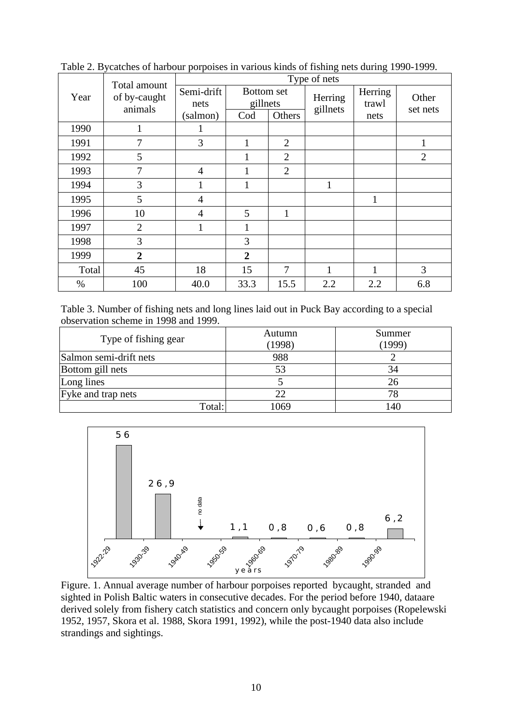|       | Total amount            | Type of nets   |                               |                |                     |                  |                |  |
|-------|-------------------------|----------------|-------------------------------|----------------|---------------------|------------------|----------------|--|
| Year  | of by-caught<br>animals | Semi-drift     | <b>Bottom</b> set<br>gillnets |                | Herring<br>gillnets | Herring<br>trawl | Other          |  |
|       |                         | nets           |                               |                |                     |                  | set nets       |  |
|       |                         | (salmon)       | Cod                           | Others         |                     | nets             |                |  |
| 1990  | 1                       |                |                               |                |                     |                  |                |  |
| 1991  | 7                       | 3              |                               | $\overline{2}$ |                     |                  | 1              |  |
| 1992  | 5                       |                |                               | $\overline{2}$ |                     |                  | $\overline{2}$ |  |
| 1993  | 7                       | $\overline{4}$ |                               | $\overline{2}$ |                     |                  |                |  |
| 1994  | 3                       |                | 1                             |                | 1                   |                  |                |  |
| 1995  | 5                       | 4              |                               |                |                     | 1                |                |  |
| 1996  | 10                      | $\overline{4}$ | 5                             | $\mathbf{1}$   |                     |                  |                |  |
| 1997  | $\overline{2}$          |                |                               |                |                     |                  |                |  |
| 1998  | 3                       |                | 3                             |                |                     |                  |                |  |
| 1999  | $\overline{2}$          |                | 2                             |                |                     |                  |                |  |
| Total | 45                      | 18             | 15                            | 7              | 1                   |                  | 3              |  |
| $\%$  | 100                     | 40.0           | 33.3                          | 15.5           | 2.2                 | 2.2              | 6.8            |  |

Table 2. Bycatches of harbour porpoises in various kinds of fishing nets during 1990-1999.

Table 3. Number of fishing nets and long lines laid out in Puck Bay according to a special observation scheme in 1998 and 1999.

| Type of fishing gear   | Autumn<br>(1998) | Summer<br>1999 |
|------------------------|------------------|----------------|
| Salmon semi-drift nets | 988              |                |
| Bottom gill nets       | 53               |                |
| Long lines             |                  |                |
| Fyke and trap nets     | 22               |                |
| Total:                 | 1069             | .40            |



Figure. 1. Annual average number of harbour porpoises reported bycaught, stranded and sighted in Polish Baltic waters in consecutive decades. For the period before 1940, dataare derived solely from fishery catch statistics and concern only bycaught porpoises (Ropelewski 1952, 1957, Skora et al. 1988, Skora 1991, 1992), while the post-1940 data also include strandings and sightings.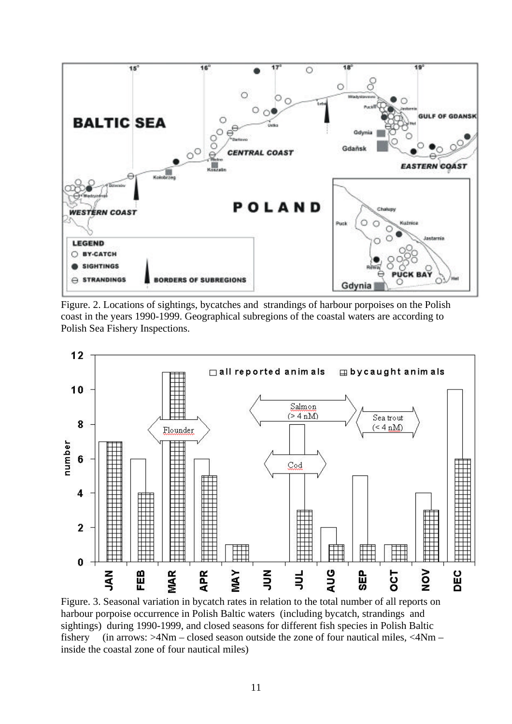

Figure. 2. Locations of sightings, bycatches and strandings of harbour porpoises on the Polish coast in the years 1990-1999. Geographical subregions of the coastal waters are according to Polish Sea Fishery Inspections.



Figure. 3. Seasonal variation in bycatch rates in relation to the total number of all reports on harbour porpoise occurrence in Polish Baltic waters (including bycatch, strandings and sightings) during 1990-1999, and closed seasons for different fish species in Polish Baltic fishery (in arrows:  $>4Nm - closed$  season outside the zone of four nautical miles,  $<4Nm -$ inside the coastal zone of four nautical miles)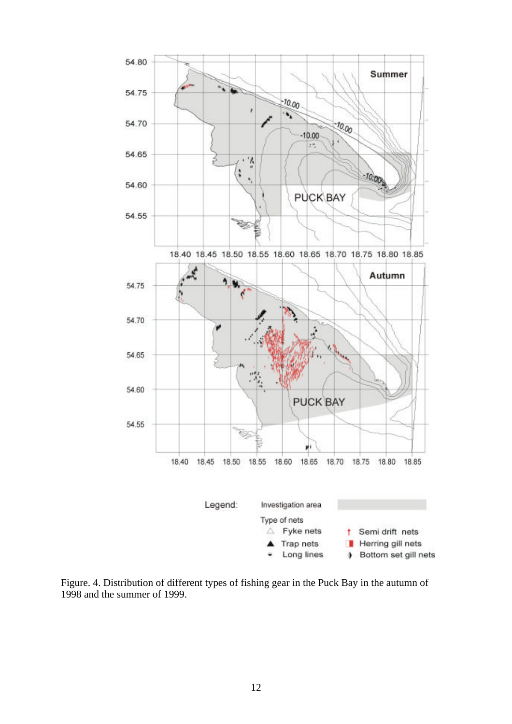

Figure. 4. Distribution of different types of fishing gear in the Puck Bay in the autumn of 1998 and the summer of 1999.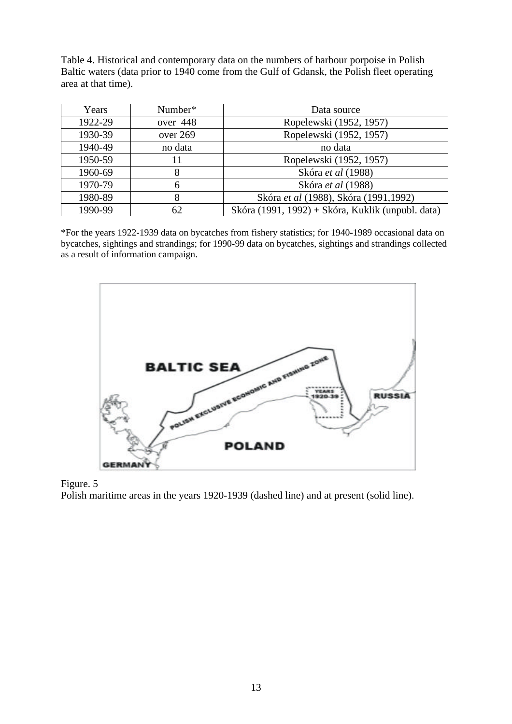Table 4. Historical and contemporary data on the numbers of harbour porpoise in Polish Baltic waters (data prior to 1940 come from the Gulf of Gdansk, the Polish fleet operating area at that time).

| Years   | Number*  | Data source                                       |
|---------|----------|---------------------------------------------------|
| 1922-29 | over 448 | Ropelewski (1952, 1957)                           |
| 1930-39 | over 269 | Ropelewski (1952, 1957)                           |
| 1940-49 | no data  | no data                                           |
| 1950-59 | 11       | Ropelewski (1952, 1957)                           |
| 1960-69 | 8        | Skóra et al (1988)                                |
| 1970-79 | 6        | Skóra et al (1988)                                |
| 1980-89 | 8        | Skóra et al (1988), Skóra (1991,1992)             |
| 1990-99 | 62       | Skóra (1991, 1992) + Skóra, Kuklik (unpubl. data) |

\*For the years 1922-1939 data on bycatches from fishery statistics; for 1940-1989 occasional data on bycatches, sightings and strandings; for 1990-99 data on bycatches, sightings and strandings collected as a result of information campaign.